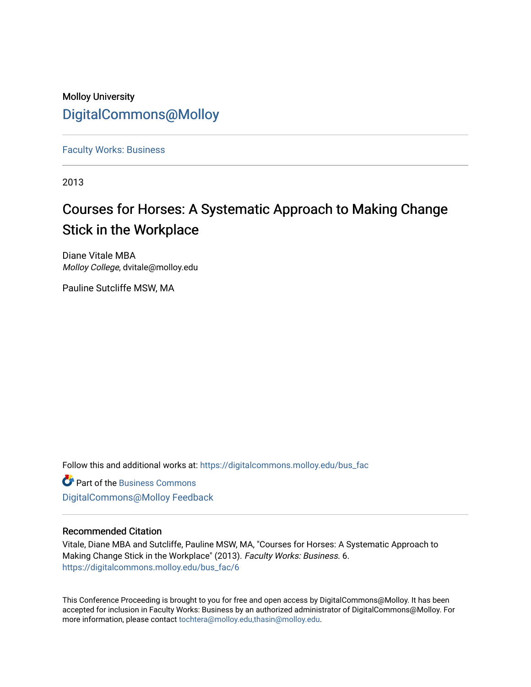### Molloy University [DigitalCommons@Molloy](https://digitalcommons.molloy.edu/)

[Faculty Works: Business](https://digitalcommons.molloy.edu/bus_fac) 

2013

# Courses for Horses: A Systematic Approach to Making Change Stick in the Workplace

Diane Vitale MBA Molloy College, dvitale@molloy.edu

Pauline Sutcliffe MSW, MA

Follow this and additional works at: [https://digitalcommons.molloy.edu/bus\\_fac](https://digitalcommons.molloy.edu/bus_fac?utm_source=digitalcommons.molloy.edu%2Fbus_fac%2F6&utm_medium=PDF&utm_campaign=PDFCoverPages)

**C** Part of the [Business Commons](https://network.bepress.com/hgg/discipline/622?utm_source=digitalcommons.molloy.edu%2Fbus_fac%2F6&utm_medium=PDF&utm_campaign=PDFCoverPages) [DigitalCommons@Molloy Feedback](https://molloy.libwizard.com/f/dcfeedback)

#### Recommended Citation

Vitale, Diane MBA and Sutcliffe, Pauline MSW, MA, "Courses for Horses: A Systematic Approach to Making Change Stick in the Workplace" (2013). Faculty Works: Business. 6. [https://digitalcommons.molloy.edu/bus\\_fac/6](https://digitalcommons.molloy.edu/bus_fac/6?utm_source=digitalcommons.molloy.edu%2Fbus_fac%2F6&utm_medium=PDF&utm_campaign=PDFCoverPages)

This Conference Proceeding is brought to you for free and open access by DigitalCommons@Molloy. It has been accepted for inclusion in Faculty Works: Business by an authorized administrator of DigitalCommons@Molloy. For more information, please contact [tochtera@molloy.edu,thasin@molloy.edu.](mailto:tochtera@molloy.edu,thasin@molloy.edu)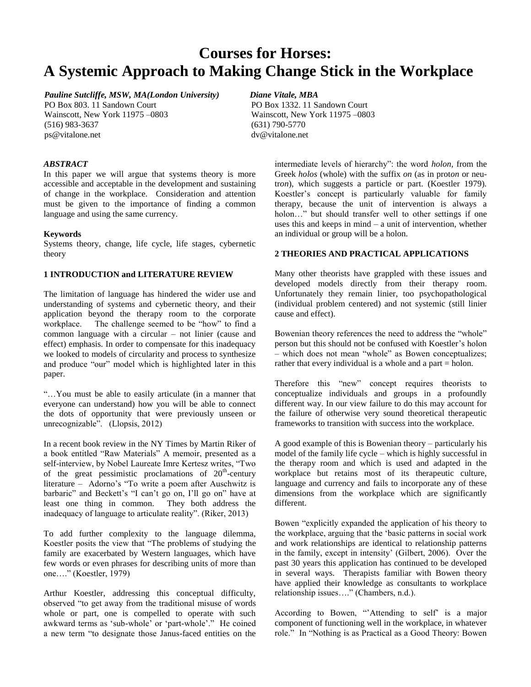## **Courses for Horses: A Systemic Approach to Making Change Stick in the Workplace**

#### *Pauline Sutcliffe, MSW, MA(London University)*

PO Box 803. 11 Sandown Court Wainscott, New York 11975 –0803 (516) 983-3637 [ps@vitalone.net](mailto:ps@vitalone.net)

*Diane Vitale, MBA* PO Box 1332. 11 Sandown Court Wainscott, New York 11975 –0803 (631) 790-5770 [dv@vitalone.net](mailto:dv@vitalone.net)

#### *ABSTRACT*

In this paper we will argue that systems theory is more accessible and acceptable in the development and sustaining of change in the workplace. Consideration and attention must be given to the importance of finding a common language and using the same currency.

#### **Keywords**

Systems theory, change, life cycle, life stages, cybernetic theory

#### **1 INTRODUCTION and LITERATURE REVIEW**

The limitation of language has hindered the wider use and understanding of systems and cybernetic theory, and their application beyond the therapy room to the corporate workplace. The challenge seemed to be "how" to find a common language with a circular – not linier (cause and effect) emphasis. In order to compensate for this inadequacy we looked to models of circularity and process to synthesize and produce "our" model which is highlighted later in this paper.

"…You must be able to easily articulate (in a manner that everyone can understand) how you will be able to connect the dots of opportunity that were previously unseen or unrecognizable". (Llopsis, 2012)

In a recent book review in the NY Times by Martin Riker of a book entitled "Raw Materials" A memoir, presented as a self-interview, by Nobel Laureate Imre Kertesz writes, "Two of the great pessimistic proclamations of  $20<sup>th</sup>$ -century literature – Adorno's "To write a poem after Auschwitz is barbaric" and Beckett's "I can't go on, I'll go on" have at least one thing in common. They both address the inadequacy of language to articulate reality". (Riker, 2013)

To add further complexity to the language dilemma, Koestler posits the view that "The problems of studying the family are exacerbated by Western languages, which have few words or even phrases for describing units of more than one…." (Koestler, 1979)

Arthur Koestler, addressing this conceptual difficulty, observed "to get away from the traditional misuse of words whole or part, one is compelled to operate with such awkward terms as 'sub-whole' or 'part-whole'." He coined a new term "to designate those Janus-faced entities on the

intermediate levels of hierarchy": the word *holon*, from the Greek *holos* (whole) with the suffix *on* (as in prot*on* or neutr*on*), which suggests a particle or part. (Koestler 1979). Koestler's concept is particularly valuable for family therapy, because the unit of intervention is always a holon…" but should transfer well to other settings if one uses this and keeps in mind – a unit of intervention, whether an individual or group will be a holon.

#### **2 THEORIES AND PRACTICAL APPLICATIONS**

Many other theorists have grappled with these issues and developed models directly from their therapy room. Unfortunately they remain linier, too psychopathological (individual problem centered) and not systemic (still linier cause and effect).

Bowenian theory references the need to address the "whole" person but this should not be confused with Koestler's holon – which does not mean "whole" as Bowen conceptualizes; rather that every individual is a whole and a part = holon.

Therefore this "new" concept requires theorists to conceptualize individuals and groups in a profoundly different way. In our view failure to do this may account for the failure of otherwise very sound theoretical therapeutic frameworks to transition with success into the workplace.

A good example of this is Bowenian theory – particularly his model of the family life cycle – which is highly successful in the therapy room and which is used and adapted in the workplace but retains most of its therapeutic culture, language and currency and fails to incorporate any of these dimensions from the workplace which are significantly different.

Bowen "explicitly expanded the application of his theory to the workplace, arguing that the 'basic patterns in social work and work relationships are identical to relationship patterns in the family, except in intensity' (Gilbert, 2006). Over the past 30 years this application has continued to be developed in several ways. Therapists familiar with Bowen theory have applied their knowledge as consultants to workplace relationship issues…." (Chambers, n.d.).

According to Bowen, "'Attending to self' is a major component of functioning well in the workplace, in whatever role." In "Nothing is as Practical as a Good Theory: Bowen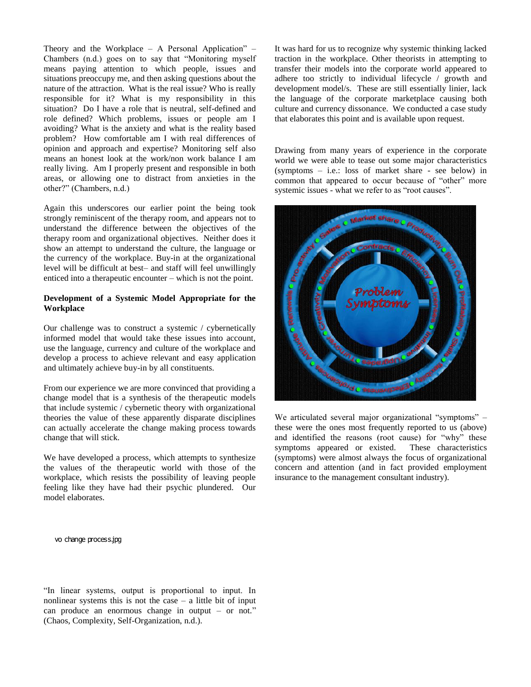Theory and the Workplace – A Personal Application" – Chambers (n.d.) goes on to say that "Monitoring myself means paying attention to which people, issues and situations preoccupy me, and then asking questions about the nature of the attraction. What is the real issue? Who is really responsible for it? What is my responsibility in this situation? Do I have a role that is neutral, self-defined and role defined? Which problems, issues or people am I avoiding? What is the anxiety and what is the reality based problem? How comfortable am I with real differences of opinion and approach and expertise? Monitoring self also means an honest look at the work/non work balance I am really living. Am I properly present and responsible in both areas, or allowing one to distract from anxieties in the other?" (Chambers, n.d.)

Again this underscores our earlier point the being took strongly reminiscent of the therapy room, and appears not to understand the difference between the objectives of the therapy room and organizational objectives. Neither does it show an attempt to understand the culture, the language or the currency of the workplace. Buy-in at the organizational level will be difficult at best– and staff will feel unwillingly enticed into a therapeutic encounter – which is not the point.

#### **Development of a Systemic Model Appropriate for the Workplace**

Our challenge was to construct a systemic / cybernetically informed model that would take these issues into account, use the language, currency and culture of the workplace and develop a process to achieve relevant and easy application and ultimately achieve buy-in by all constituents.

From our experience we are more convinced that providing a change model that is a synthesis of the therapeutic models that include systemic / cybernetic theory with organizational theories the value of these apparently disparate disciplines can actually accelerate the change making process towards change that will stick.

We have developed a process, which attempts to synthesize the values of the therapeutic world with those of the workplace, which resists the possibility of leaving people feeling like they have had their psychic plundered. Our model elaborates.

It was hard for us to recognize why systemic thinking lacked traction in the workplace. Other theorists in attempting to transfer their models into the corporate world appeared to adhere too strictly to individual lifecycle / growth and development model/s. These are still essentially linier, lack the language of the corporate marketplace causing both culture and currency dissonance. We conducted a case study that elaborates this point and is available upon request.

Drawing from many years of experience in the corporate world we were able to tease out some major characteristics (symptoms – i.e.: loss of market share - see below) in common that appeared to occur because of "other" more systemic issues - what we refer to as "root causes".



We articulated several major organizational "symptoms" – these were the ones most frequently reported to us (above) and identified the reasons (root cause) for "why" these symptoms appeared or existed. These characteristics (symptoms) were almost always the focus of organizational concern and attention (and in fact provided employment insurance to the management consultant industry).

vo change process.jpg

"In linear systems, output is proportional to input. In nonlinear systems this is not the case – a little bit of input can produce an enormous change in output – or not." (Chaos, Complexity, Self-Organization, n.d.).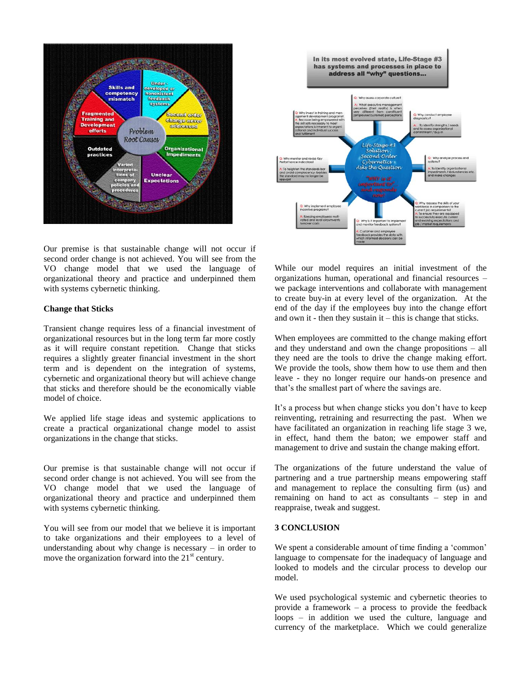

In its most evolved state, Life-Stage #3 has systems and processes in place to address all "why" questions... Life-Stage #. Solution:<br>Second Order metics **& the Question** 

Our premise is that sustainable change will not occur if second order change is not achieved. You will see from the VO change model that we used the language of organizational theory and practice and underpinned them with systems cybernetic thinking.

#### **Change that Sticks**

Transient change requires less of a financial investment of organizational resources but in the long term far more costly as it will require constant repetition. Change that sticks requires a slightly greater financial investment in the short term and is dependent on the integration of systems, cybernetic and organizational theory but will achieve change that sticks and therefore should be the economically viable model of choice.

We applied life stage ideas and systemic applications to create a practical organizational change model to assist organizations in the change that sticks.

Our premise is that sustainable change will not occur if second order change is not achieved. You will see from the VO change model that we used the language of organizational theory and practice and underpinned them with systems cybernetic thinking.

You will see from our model that we believe it is important to take organizations and their employees to a level of understanding about why change is necessary – in order to move the organization forward into the  $21<sup>st</sup>$  century.

While our model requires an initial investment of the organizations human, operational and financial resources – we package interventions and collaborate with management to create buy-in at every level of the organization. At the end of the day if the employees buy into the change effort and own it - then they sustain  $it - this$  is change that sticks.

When employees are committed to the change making effort and they understand and own the change propositions – all they need are the tools to drive the change making effort. We provide the tools, show them how to use them and then leave - they no longer require our hands-on presence and that's the smallest part of where the savings are.

It's a process but when change sticks you don't have to keep reinventing, retraining and resurrecting the past. When we have facilitated an organization in reaching life stage 3 we, in effect, hand them the baton; we empower staff and management to drive and sustain the change making effort.

The organizations of the future understand the value of partnering and a true partnership means empowering staff and management to replace the consulting firm (us) and remaining on hand to act as consultants – step in and reappraise, tweak and suggest.

#### **3 CONCLUSION**

We spent a considerable amount of time finding a 'common' language to compensate for the inadequacy of language and looked to models and the circular process to develop our model.

We used psychological systemic and cybernetic theories to provide a framework – a process to provide the feedback loops – in addition we used the culture, language and currency of the marketplace. Which we could generalize